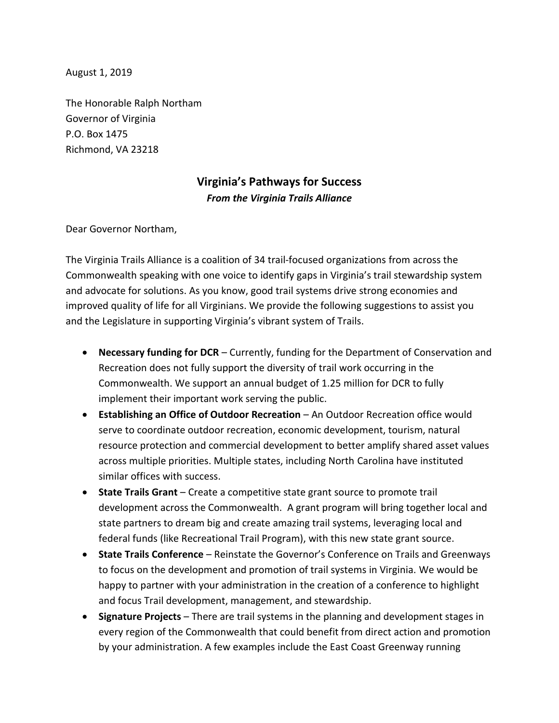August 1, 2019

The Honorable Ralph Northam Governor of Virginia P.O. Box 1475 Richmond, VA 23218

## **Virginia's Pathways for Success** *From the Virginia Trails Alliance*

Dear Governor Northam,

The Virginia Trails Alliance is a coalition of 34 trail-focused organizations from across the Commonwealth speaking with one voice to identify gaps in Virginia's trail stewardship system and advocate for solutions. As you know, good trail systems drive strong economies and improved quality of life for all Virginians. We provide the following suggestions to assist you and the Legislature in supporting Virginia's vibrant system of Trails.

- **Necessary funding for DCR** Currently, funding for the Department of Conservation and Recreation does not fully support the diversity of trail work occurring in the Commonwealth. We support an annual budget of 1.25 million for DCR to fully implement their important work serving the public.
- **Establishing an Office of Outdoor Recreation**  An Outdoor Recreation office would serve to coordinate outdoor recreation, economic development, tourism, natural resource protection and commercial development to better amplify shared asset values across multiple priorities. Multiple states, including North Carolina have instituted similar offices with success.
- **State Trails Grant** Create a competitive state grant source to promote trail development across the Commonwealth. A grant program will bring together local and state partners to dream big and create amazing trail systems, leveraging local and federal funds (like Recreational Trail Program), with this new state grant source.
- **State Trails Conference** Reinstate the Governor's Conference on Trails and Greenways to focus on the development and promotion of trail systems in Virginia. We would be happy to partner with your administration in the creation of a conference to highlight and focus Trail development, management, and stewardship.
- **Signature Projects** There are trail systems in the planning and development stages in every region of the Commonwealth that could benefit from direct action and promotion by your administration. A few examples include the East Coast Greenway running